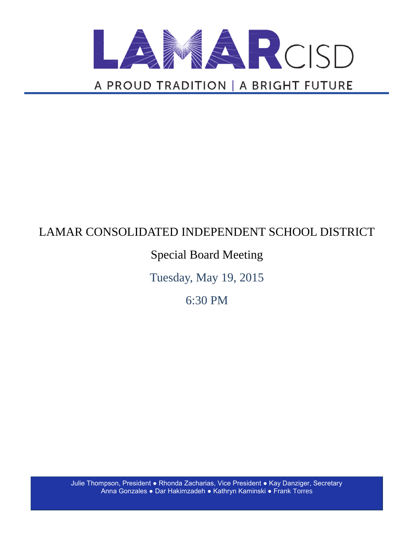

# LAMAR CONSOLIDATED INDEPENDENT SCHOOL DISTRICT

# Special Board Meeting

Tuesday, May 19, 2015

6:30 PM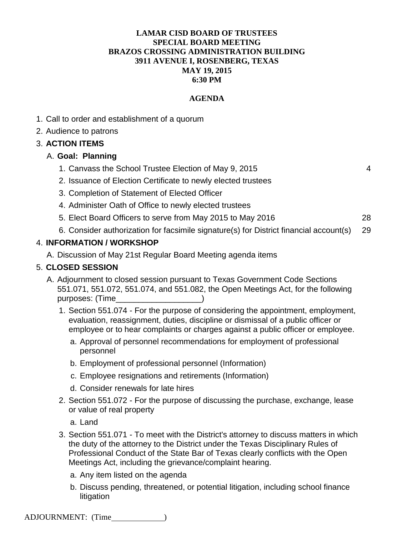#### **LAMAR CISD BOARD OF TRUSTEES SPECIAL BOARD MEETING BRAZOS CROSSING ADMINISTRATION BUILDING 3911 AVENUE I, ROSENBERG, TEXAS MAY 19, 2015 6:30 PM**

#### **AGENDA**

- 1. Call to order and establishment of a quorum
- 2. Audience to patrons

#### 3. **ACTION ITEMS**

#### A. **Goal: Planning**

- 1. Canvass the School Trustee Election of May 9, 2015 4
- 2. Issuance of Election Certificate to newly elected trustees
- 3. Completion of Statement of Elected Officer
- 4. Administer Oath of Office to newly elected trustees
- 5. Elect Board Officers to serve from May 2015 to May 2016 28
- 6. Consider authorization for facsimile signature(s) for District financial account(s) 29

#### 4. **INFORMATION / WORKSHOP**

A. Discussion of May 21st Regular Board Meeting agenda items

#### 5. **CLOSED SESSION**

- A. Adjournment to closed session pursuant to Texas Government Code Sections 551.071, 551.072, 551.074, and 551.082, the Open Meetings Act, for the following purposes: (Time  $)$ 
	- 1. Section 551.074 For the purpose of considering the appointment, employment, evaluation, reassignment, duties, discipline or dismissal of a public officer or employee or to hear complaints or charges against a public officer or employee.
		- a. Approval of personnel recommendations for employment of professional personnel
		- b. Employment of professional personnel (Information)
		- c. Employee resignations and retirements (Information)
		- d. Consider renewals for late hires
	- 2. Section 551.072 For the purpose of discussing the purchase, exchange, lease or value of real property
		- a. Land
	- 3. Section 551.071 To meet with the District's attorney to discuss matters in which the duty of the attorney to the District under the Texas Disciplinary Rules of Professional Conduct of the State Bar of Texas clearly conflicts with the Open Meetings Act, including the grievance/complaint hearing.
		- a. Any item listed on the agenda
		- b. Discuss pending, threatened, or potential litigation, including school finance litigation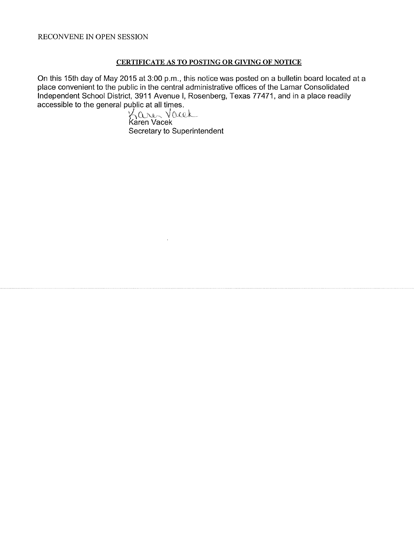#### CERTIFICATE AS TO POSTING OR GIVING OF NOTICE

On this 15th day of May 2015 at 3:00 p.m., this notice was posted on a bulletin board located at a place convenient to the public in the central administrative offices of the Lamar Consolidated Independent School District, 3911 Avenue I, Rosenberg, Texas 77471, and in a place readily accessible to the general public at all times.

Karen Vacek Secretary to Superintendent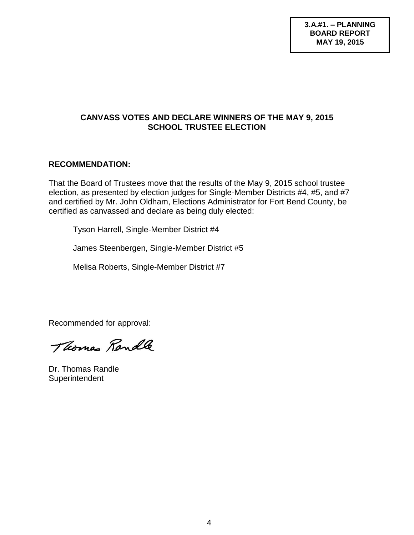#### **CANVASS VOTES AND DECLARE WINNERS OF THE MAY 9, 2015 SCHOOL TRUSTEE ELECTION**

## **RECOMMENDATION:**

That the Board of Trustees move that the results of the May 9, 2015 school trustee election, as presented by election judges for Single-Member Districts #4, #5, and #7 and certified by Mr. John Oldham, Elections Administrator for Fort Bend County, be certified as canvassed and declare as being duly elected:

Tyson Harrell, Single-Member District #4

James Steenbergen, Single-Member District #5

Melisa Roberts, Single-Member District #7

Recommended for approval:

Thomas Randle

Dr. Thomas Randle **Superintendent**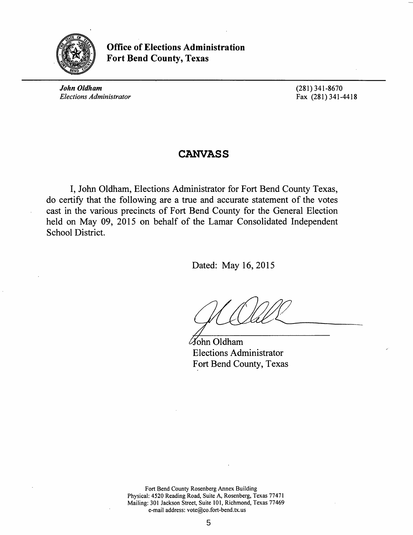

Office of Elections Administration Fort Bend County, Texas

*John Oldham Elections Administrator*  (281) 341-8670 Fax (281) 341-4418

# CANVASS

I, John Oldham, Elections Administrator for Fort Bend County Texas, do certify that the following are a true and accurate statement of the votes cast in the various precincts of Fort Bend County for the General Election held on May 09, 2015 on behalf of the Lamar Consolidated Independent School District.

Dated: May 16, 2015

John Oldham Elections Administrator Fort Bend County, Texas

Fort Bend County Rosenberg Annex Building Physical: 4520 Reading Road, Suite A, Rosenberg, Texas 77471 Mailing: 301 Jackson Street, Suite 101, Richmond, Texas 77469 e-mail address: vote@co.fort-bend.tx.us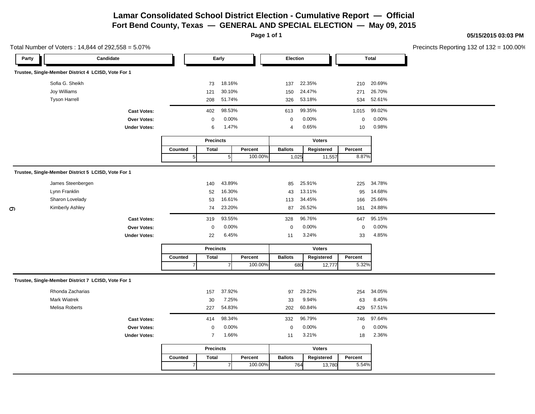**Page 1 of 1**

**05/15/2015 03:03 PM**  $.100.00\%$ 

|       | Total Number of Voters: 14,844 of 292,558 = 5.07%   |                     |                |                  |                |         |                |               |                  |              | Precincts Reporting 132 of 132 = |
|-------|-----------------------------------------------------|---------------------|----------------|------------------|----------------|---------|----------------|---------------|------------------|--------------|----------------------------------|
| Party |                                                     | Candidate           |                |                  | Early          |         | Election       |               |                  | <b>Total</b> |                                  |
|       | Trustee, Single-Member District 4 LCISD, Vote For 1 |                     |                |                  |                |         |                |               |                  |              |                                  |
|       | Sofia G. Sheikh                                     |                     |                | 73               | 18.16%         |         | 137            | 22.35%        | 210              | 20.69%       |                                  |
|       | Joy Williams                                        |                     |                | 121              | 30.10%         |         | 150            | 24.47%        | 271              | 26.70%       |                                  |
|       | <b>Tyson Harrell</b>                                |                     |                | 208              | 51.74%         |         | 326            | 53.18%        | 534              | 52.61%       |                                  |
|       |                                                     | <b>Cast Votes:</b>  |                | 402              | 98.53%         |         | 613            | 99.35%        | 1,015            | 99.02%       |                                  |
|       |                                                     | Over Votes:         |                | $\mathbf 0$      | 0.00%          |         | $\pmb{0}$      | 0.00%         | $\boldsymbol{0}$ | 0.00%        |                                  |
|       |                                                     | <b>Under Votes:</b> |                | 6                | 1.47%          |         | 4              | 0.65%         | 10               | 0.98%        |                                  |
|       |                                                     |                     |                | <b>Precincts</b> |                |         |                | <b>Voters</b> |                  |              |                                  |
|       |                                                     |                     | Counted        | <b>Total</b>     |                | Percent | <b>Ballots</b> | Registered    | Percent          |              |                                  |
|       |                                                     |                     | 5              |                  | $\sqrt{5}$     | 100.00% | 1,025          | 11,557        | 8.87%            |              |                                  |
|       | Trustee, Single-Member District 5 LCISD, Vote For 1 |                     |                |                  |                |         |                |               |                  |              |                                  |
|       | James Steenbergen                                   |                     |                | 140              | 43.89%         |         | 85             | 25.91%        | 225              | 34.78%       |                                  |
|       | Lynn Franklin                                       |                     |                | 52               | 16.30%         |         | 43             | 13.11%        | 95               | 14.68%       |                                  |
|       | Sharon Lovelady                                     |                     |                | 53               | 16.61%         |         | 113            | 34.45%        | 166              | 25.66%       |                                  |
| တ     | Kimberly Ashley                                     |                     |                | 74               | 23.20%         |         | 87             | 26.52%        | 161              | 24.88%       |                                  |
|       |                                                     | <b>Cast Votes:</b>  |                | 319              | 93.55%         |         | 328            | 96.76%        | 647              | 95.15%       |                                  |
|       |                                                     | Over Votes:         |                | $\mathbf 0$      | 0.00%          |         | $\mathbf 0$    | 0.00%         | $\mathbf 0$      | 0.00%        |                                  |
|       |                                                     | <b>Under Votes:</b> |                | 22               | 6.45%          |         | 11             | 3.24%         | 33               | 4.85%        |                                  |
|       |                                                     |                     |                | <b>Precincts</b> |                |         |                | <b>Voters</b> |                  |              |                                  |
|       |                                                     |                     | Counted        | <b>Total</b>     |                | Percent | <b>Ballots</b> | Registered    | Percent          |              |                                  |
|       |                                                     |                     | $\overline{7}$ |                  | $\overline{7}$ | 100.00% |                | 680<br>12,777 | 5.32%            |              |                                  |
|       | Trustee, Single-Member District 7 LCISD, Vote For 1 |                     |                |                  |                |         |                |               |                  |              |                                  |
|       | Rhonda Zacharias                                    |                     |                | 157              | 37.92%         |         | 97             | 29.22%        | 254              | 34.05%       |                                  |
|       | Mark Wiatrek                                        |                     |                | 30               | 7.25%          |         | 33             | 9.94%         | 63               | 8.45%        |                                  |
|       | Melisa Roberts                                      |                     |                | 227              | 54.83%         |         | 202            | 60.84%        | 429              | 57.51%       |                                  |
|       |                                                     | <b>Cast Votes:</b>  |                | 414              | 98.34%         |         | 332            | 96.79%        | 746              | 97.64%       |                                  |
|       |                                                     | Over Votes:         |                | $\mathbf 0$      | 0.00%          |         | $\mathbf 0$    | 0.00%         | $\mathbf 0$      | 0.00%        |                                  |
|       |                                                     | <b>Under Votes:</b> |                | $\overline{7}$   | 1.66%          |         | 11             | 3.21%         | 18               | 2.36%        |                                  |
|       |                                                     |                     |                | <b>Precincts</b> |                |         |                | <b>Voters</b> |                  |              |                                  |
|       |                                                     |                     | Counted        | <b>Total</b>     |                | Percent | <b>Ballots</b> | Registered    | Percent          |              |                                  |
|       |                                                     |                     | $\overline{7}$ |                  | $\overline{7}$ | 100.00% |                | 764<br>13,780 | 5.54%            |              |                                  |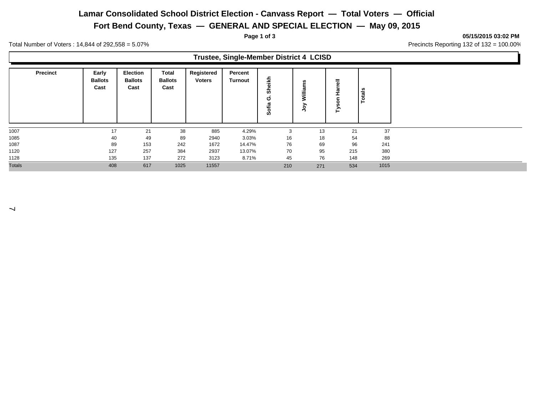## **Lamar Consolidated School District Election - Canvass Report — Total Voters — Official**

**Fort Bend County, Texas — GENERAL AND SPECIAL ELECTION — May 09, 2015**

**Page 1 of 3 05/15/2015 03:02 PM**

Ъ

Total Number of Voters : 14,844 of 292,558 = 5.07% Precincts Reporting 132 of 132 = 100.00%

|                 |                                 |                                           |                                        |                             | Trustee, Single-Member District 4 LCISD |               |                                 |             |       |  |
|-----------------|---------------------------------|-------------------------------------------|----------------------------------------|-----------------------------|-----------------------------------------|---------------|---------------------------------|-------------|-------|--|
| <b>Precinct</b> | Early<br><b>Ballots</b><br>Cast | <b>Election</b><br><b>Ballots</b><br>Cast | <b>Total</b><br><b>Ballots</b><br>Cast | Registered<br><b>Voters</b> | Percent<br>Turnout                      | Ϊķ<br>ပ<br>Ō, | n<br>Willia<br>∽<br>$\tilde{S}$ | 둖<br>∽<br>⊢ | otals |  |
| 1007            | 17                              | 21                                        | 38                                     | 885                         | 4.29%                                   | 3             | 13                              | 21          | 37    |  |
| 1085            | 40                              | 49                                        | 89                                     | 2940                        | 3.03%                                   | 16            | 18                              | 54          | 88    |  |
| 1087            | 89                              | 153                                       | 242                                    | 1672                        | 14.47%                                  | 76            | 69                              | 96          | 241   |  |
| 1120            | 127                             | 257                                       | 384                                    | 2937                        | 13.07%                                  | 70            | 95                              | 215         | 380   |  |
| 1128            | 135                             | 137                                       | 272                                    | 3123                        | 8.71%                                   | 45            | 76                              | 148         | 269   |  |
| <b>Totals</b>   | 408                             | 617                                       | 1025                                   | 11557                       |                                         | 210           | 271                             | 534         | 1015  |  |

 $\overline{\phantom{0}}$ 

 $\Gamma$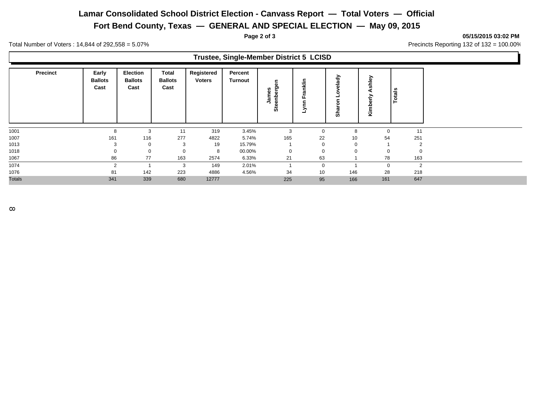## **Lamar Consolidated School District Election - Canvass Report — Total Voters — Official**

**Fort Bend County, Texas — GENERAL AND SPECIAL ELECTION — May 09, 2015**

**Page 2 of 3 05/15/2015 03:02 PM**

Total Number of Voters : 14,844 of 292,558 = 5.07% Precincts Reporting 132 of 132 = 100.00%

|               |                 |                                 |                                           |                                 |                             | <b>Trustee, Single-Member District 5 LCISD</b> |                              |             |                    |               |        |
|---------------|-----------------|---------------------------------|-------------------------------------------|---------------------------------|-----------------------------|------------------------------------------------|------------------------------|-------------|--------------------|---------------|--------|
|               | <b>Precinct</b> | Early<br><b>Ballots</b><br>Cast | <b>Election</b><br><b>Ballots</b><br>Cast | Total<br><b>Ballots</b><br>Cast | Registered<br><b>Voters</b> | Percent<br>Turnout                             | ළි,<br>James<br>enber<br>Ste | nklin<br>₹  | elady<br>န<br>Shar | welks<br>Kiml | Totals |
| 1001          |                 | 8                               | 3                                         | 11                              | 319                         | 3.45%                                          | 3                            | $\mathbf 0$ | 8                  | $\mathbf 0$   | 11     |
| 1007          |                 | 161                             | 116                                       | 277                             | 4822                        | 5.74%                                          | 165                          | 22          | 10                 | 54            | 251    |
| 1013          |                 |                                 | $\mathbf 0$                               | 3                               | 19                          | 15.79%                                         |                              | 0           | $\mathbf 0$        |               | 2      |
| 1018          |                 |                                 | 0                                         | 0                               | 8                           | 00.00%                                         | 0                            | 0           | 0                  | 0             | 0      |
| 1067          |                 | 86                              | 77                                        | 163                             | 2574                        | 6.33%                                          | 21                           | 63          |                    | 78            | 163    |
| 1074          |                 | 2                               |                                           | 3                               | 149                         | 2.01%                                          |                              | $\mathbf 0$ |                    | $\mathbf 0$   | 2      |
| 1076          |                 | 81                              | 142                                       | 223                             | 4886                        | 4.56%                                          | 34                           | 10          | 146                | 28            | 218    |
| <b>Totals</b> |                 | 341                             | 339                                       | 680                             | 12777                       |                                                | 225                          | 95          | 166                | 161           | 647    |
|               |                 |                                 |                                           |                                 |                             |                                                |                              |             |                    |               |        |

F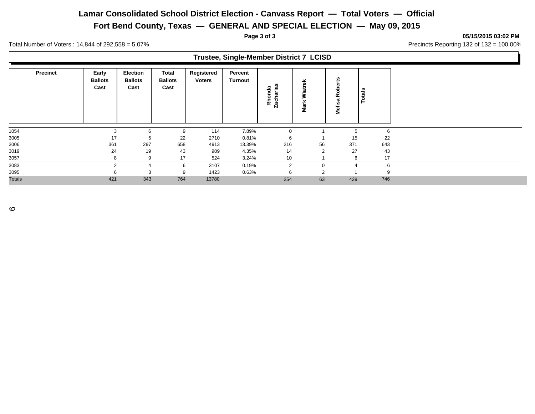## **Lamar Consolidated School District Election - Canvass Report — Total Voters — Official**

**Fort Bend County, Texas — GENERAL AND SPECIAL ELECTION — May 09, 2015**

**Page 3 of 3 05/15/2015 03:02 PM**

Total Number of Voters : 14,844 of 292,558 = 5.07% Contract 2000 Precincts Reporting 132 of 132 = 100.00%

#### **Trustee, Single-Member District 7 LCISD**

| <b>Precinct</b> | Early<br><b>Ballots</b><br>Cast | <b>Election</b><br><b>Ballots</b><br>Cast | Total<br><b>Ballots</b><br>Cast | Registered<br><b>Voters</b> | Percent<br><b>Turnout</b> | ທ<br>Rhonda<br>Zacharias | Wiatrek<br>Mark | ℒ<br>œ<br>Melis | Totals |
|-----------------|---------------------------------|-------------------------------------------|---------------------------------|-----------------------------|---------------------------|--------------------------|-----------------|-----------------|--------|
| 1054            | 3                               | 6                                         | 9                               | 114                         | 7.89%                     | 0                        |                 | <sub>5</sub>    | 6      |
| 3005            | 17                              | 5                                         | 22                              | 2710                        | 0.81%                     | 6                        |                 | 15              | 22     |
| 3006            | 361                             | 297                                       | 658                             | 4913                        | 13.39%                    | 216                      | 56              | 371             | 643    |
| 3019            | 24                              | 19                                        | 43                              | 989                         | 4.35%                     | 14                       | $\overline{2}$  | 27              | 43     |
| 3057            | 8                               | 9                                         | 17                              | 524                         | 3.24%                     | 10                       |                 | 6               | 17     |
| 3083            | $\mathcal{P}$                   | 4                                         | 6                               | 3107                        | 0.19%                     | $\overline{2}$           |                 |                 | 6      |
| 3095            |                                 | 3                                         | 9                               | 1423                        | 0.63%                     | 6                        | $\overline{2}$  |                 | 9      |
| <b>Totals</b>   | 421                             | 343                                       | 764                             | 13780                       |                           | 254                      | 63              | 429             | 746    |

 $\circ$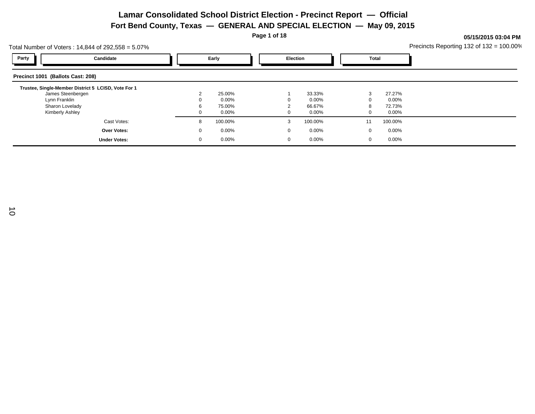**Page 1 of 18**

| Total Number of Voters: 14,844 of 292,558 = 5.07%   |                     |  |          |  |                 |  | Precincts Reporting 132 of $132 = 100.00\%$ |          |  |  |  |
|-----------------------------------------------------|---------------------|--|----------|--|-----------------|--|---------------------------------------------|----------|--|--|--|
| Party                                               | Candidate           |  | Early    |  | <b>Election</b> |  | <b>Total</b>                                |          |  |  |  |
| Precinct 1001 (Ballots Cast: 208)                   |                     |  |          |  |                 |  |                                             |          |  |  |  |
| Trustee, Single-Member District 5 LCISD, Vote For 1 |                     |  |          |  |                 |  |                                             |          |  |  |  |
| James Steenbergen                                   |                     |  | 25.00%   |  | 33.33%          |  | 3                                           | 27.27%   |  |  |  |
| Lynn Franklin                                       |                     |  | 0.00%    |  | 0.00%           |  |                                             | $0.00\%$ |  |  |  |
| Sharon Lovelady                                     |                     |  | 75.00%   |  | 66.67%          |  |                                             | 72.73%   |  |  |  |
| Kimberly Ashley                                     |                     |  | $0.00\%$ |  | $0.00\%$        |  | $\Omega$                                    | $0.00\%$ |  |  |  |
|                                                     | Cast Votes:         |  | 100.00%  |  | 100.00%<br>3    |  | 11                                          | 100.00%  |  |  |  |
|                                                     | <b>Over Votes:</b>  |  | $0.00\%$ |  | $0.00\%$        |  | 0                                           | 0.00%    |  |  |  |
|                                                     | <b>Under Votes:</b> |  | 0.00%    |  | 0.00%           |  | 0                                           | 0.00%    |  |  |  |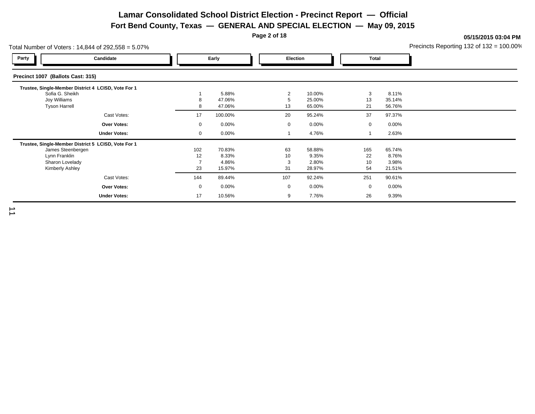**Page 2 of 18**

| otal Number of Voters: $14,844$ of $292,558 = 5.07\%$                                                                           |                 |                                    |                     |                                    |                       |                                    | Precincts Reporting 132 of $132 = 100.00\%$ |
|---------------------------------------------------------------------------------------------------------------------------------|-----------------|------------------------------------|---------------------|------------------------------------|-----------------------|------------------------------------|---------------------------------------------|
| Party<br>Candidate                                                                                                              |                 | Early                              | Election            |                                    | <b>Total</b>          |                                    |                                             |
| Precinct 1007 (Ballots Cast: 315)                                                                                               |                 |                                    |                     |                                    |                       |                                    |                                             |
| Trustee, Single-Member District 4 LCISD, Vote For 1<br>Sofia G. Sheikh<br>Joy Williams<br><b>Tyson Harrell</b>                  | 8<br>8          | 5.88%<br>47.06%<br>47.06%          | 2<br>5<br>13        | 10.00%<br>25.00%<br>65.00%         | 3<br>13<br>21         | 8.11%<br>35.14%<br>56.76%          |                                             |
| Cast Votes:                                                                                                                     | 17              | 100.00%                            | 20                  | 95.24%                             | 37                    | 97.37%                             |                                             |
| <b>Over Votes:</b>                                                                                                              | 0               | 0.00%                              | $\mathbf 0$         | $0.00\%$                           | $\mathbf 0$           | 0.00%                              |                                             |
| <b>Under Votes:</b>                                                                                                             | $\mathbf 0$     | $0.00\%$                           |                     | 4.76%                              |                       | 2.63%                              |                                             |
| Trustee, Single-Member District 5 LCISD, Vote For 1<br>James Steenbergen<br>Lynn Franklin<br>Sharon Lovelady<br>Kimberly Ashley | 102<br>12<br>23 | 70.83%<br>8.33%<br>4.86%<br>15.97% | 63<br>10<br>3<br>31 | 58.88%<br>9.35%<br>2.80%<br>28.97% | 165<br>22<br>10<br>54 | 65.74%<br>8.76%<br>3.98%<br>21.51% |                                             |
| Cast Votes:                                                                                                                     | 144             | 89.44%                             | 107                 | 92.24%                             | 251                   | 90.61%                             |                                             |
| <b>Over Votes:</b>                                                                                                              | 0               | $0.00\%$                           | $\mathbf 0$         | $0.00\%$                           | $\mathbf 0$           | 0.00%                              |                                             |
| <b>Under Votes:</b>                                                                                                             | 17              | 10.56%                             | 9                   | 7.76%                              | 26                    | 9.39%                              |                                             |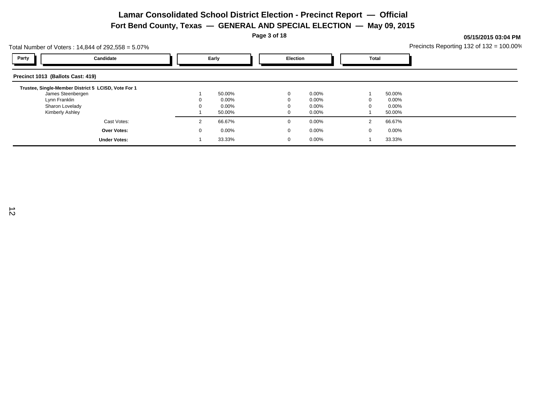**Page 3 of 18**

| Total Number of Voters: 14,844 of 292,558 = 5.07%   |       |          |  |                 |          |              |   |          | Precincts Reporting 132 of $132 = 100.00\%$ |  |  |  |
|-----------------------------------------------------|-------|----------|--|-----------------|----------|--------------|---|----------|---------------------------------------------|--|--|--|
| Party<br>Candidate                                  | Early |          |  | <b>Election</b> |          | <b>Total</b> |   |          |                                             |  |  |  |
| Precinct 1013 (Ballots Cast: 419)                   |       |          |  |                 |          |              |   |          |                                             |  |  |  |
| Trustee, Single-Member District 5 LCISD, Vote For 1 |       |          |  |                 |          |              |   |          |                                             |  |  |  |
| James Steenbergen                                   |       | 50.00%   |  |                 | 0.00%    |              |   | 50.00%   |                                             |  |  |  |
| Lynn Franklin                                       |       | 0.00%    |  |                 | $0.00\%$ |              | 0 | $0.00\%$ |                                             |  |  |  |
| Sharon Lovelady                                     |       | $0.00\%$ |  |                 | 0.00%    |              |   | 0.00%    |                                             |  |  |  |
| Kimberly Ashley                                     |       | 50.00%   |  |                 | $0.00\%$ |              |   | 50.00%   |                                             |  |  |  |
| Cast Votes:                                         |       | 66.67%   |  |                 | 0.00%    |              | 2 | 66.67%   |                                             |  |  |  |
| <b>Over Votes:</b>                                  |       | 0.00%    |  |                 | 0.00%    |              | 0 | $0.00\%$ |                                             |  |  |  |
| <b>Under Votes:</b>                                 |       | 33.33%   |  |                 | 0.00%    |              |   | 33.33%   |                                             |  |  |  |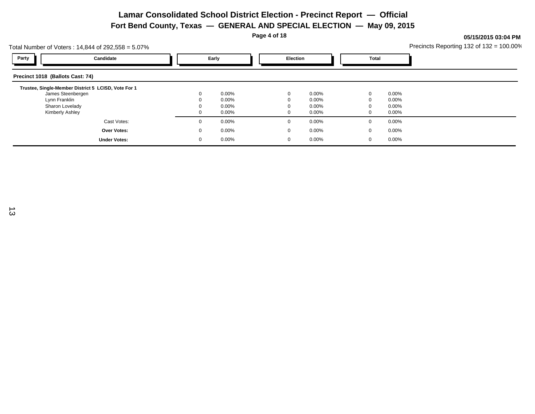**Page 4 of 18**

| Total Number of Voters: 14,844 of 292,558 = 5.07%   |                     |             |          |  |             |          |       |          | Precincts Reporting 132 of $132 = 100.00\%$ |
|-----------------------------------------------------|---------------------|-------------|----------|--|-------------|----------|-------|----------|---------------------------------------------|
| Party                                               | Candidate           |             | Early    |  | Election    |          | Total |          |                                             |
| Precinct 1018 (Ballots Cast: 74)                    |                     |             |          |  |             |          |       |          |                                             |
| Trustee, Single-Member District 5 LCISD, Vote For 1 |                     |             |          |  |             |          |       |          |                                             |
| James Steenbergen                                   |                     |             | $0.00\%$ |  | $\mathbf 0$ | $0.00\%$ | 0     | 0.00%    |                                             |
| Lynn Franklin                                       |                     |             | $0.00\%$ |  | $\Omega$    | $0.00\%$ |       | $0.00\%$ |                                             |
| Sharon Lovelady                                     |                     |             | $0.00\%$ |  | $\Omega$    | $0.00\%$ |       | $0.00\%$ |                                             |
| Kimberly Ashley                                     |                     |             | $0.00\%$ |  | 0           | $0.00\%$ | U     | 0.00%    |                                             |
|                                                     | Cast Votes:         | $\Omega$    | $0.00\%$ |  | $\mathbf 0$ | $0.00\%$ | 0     | 0.00%    |                                             |
|                                                     | <b>Over Votes:</b>  | $\mathbf 0$ | $0.00\%$ |  | 0           | $0.00\%$ | 0     | $0.00\%$ |                                             |
|                                                     | <b>Under Votes:</b> | 0           | $0.00\%$ |  | $\mathbf 0$ | $0.00\%$ | 0     | 0.00%    |                                             |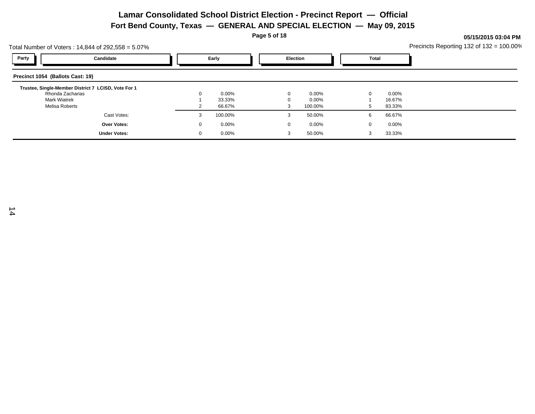**Page 5 of 18**

**05/15/2015 03:04 PM**

Total Number of Voters : 14,844 of 292,558 = 5.07% Precincts Reporting 132 of 132 = 100.00% **Party Candidate Early Election Total Precinct 1054 (Ballots Cast: 19) Trustee, Single-Member District 7 LCISD, Vote For 1** Rhonda Zacharias 0 0.00% 0 0.00% 0 0.00% Mark Wiatrek 1 33.33% 0 0.00% 1 16.67% Melisa Roberts 2 66.67% 3 100.00% 5 83.33% Cast Votes: 3 100.00% 3 50.00% 6 66.67% **Over Votes: Under Votes:** 0 0.00% 0 0.00%  $0.00\%$  3 50.00% 3 33.33% 0 0.00% 3 3 50.00%  $0.00\%$  0.00% 0.00%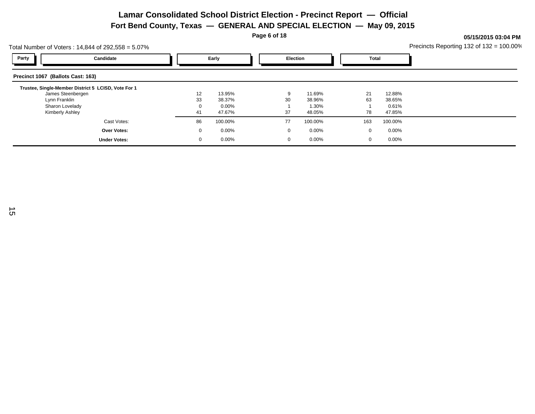**Page 6 of 18**

| Total Number of Voters: 14,844 of 292,558 = 5.07%   |       |          |    |                 |  |              |         | Precincts Reporting 132 of $132 = 100.00\%$ |  |  |
|-----------------------------------------------------|-------|----------|----|-----------------|--|--------------|---------|---------------------------------------------|--|--|
| Party<br>Candidate                                  | Early |          |    | <b>Election</b> |  | <b>Total</b> |         |                                             |  |  |
| Precinct 1067 (Ballots Cast: 163)                   |       |          |    |                 |  |              |         |                                             |  |  |
| Trustee, Single-Member District 5 LCISD, Vote For 1 |       |          |    |                 |  |              |         |                                             |  |  |
| James Steenbergen                                   | 12    | 13.95%   |    | 11.69%          |  | 21           | 12.88%  |                                             |  |  |
| Lynn Franklin                                       | 33    | 38.37%   | 30 | 38.96%          |  | 63           | 38.65%  |                                             |  |  |
| Sharon Lovelady                                     |       | $0.00\%$ |    | 1.30%           |  |              | 0.61%   |                                             |  |  |
| Kimberly Ashley                                     | 41    | 47.67%   | 37 | 48.05%          |  | 78           | 47.85%  |                                             |  |  |
| Cast Votes:                                         | 86    | 100.00%  | 77 | 100.00%         |  | 163          | 100.00% |                                             |  |  |
| Over Votes:                                         |       | 0.00%    |    | 0.00%           |  | 0            | 0.00%   |                                             |  |  |
| <b>Under Votes:</b>                                 |       | 0.00%    |    | 0.00%           |  | 0            | 0.00%   |                                             |  |  |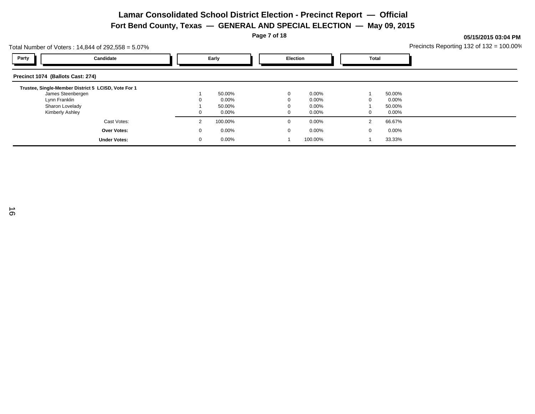**Page 7 of 18**

|                                   | Total Number of Voters: 14,844 of 292,558 = 5.07%   |              |          |  |              |          |              |          | Precincts Reporting 132 of 132 = 100.00% |
|-----------------------------------|-----------------------------------------------------|--------------|----------|--|--------------|----------|--------------|----------|------------------------------------------|
| Party                             | Candidate                                           |              | Early    |  | Election     |          | <b>Total</b> |          |                                          |
| Precinct 1074 (Ballots Cast: 274) |                                                     |              |          |  |              |          |              |          |                                          |
|                                   | Trustee, Single-Member District 5 LCISD, Vote For 1 |              |          |  |              |          |              |          |                                          |
|                                   | James Steenbergen                                   |              | 50.00%   |  | $\mathbf{0}$ | $0.00\%$ |              | 50.00%   |                                          |
| Lynn Franklin                     |                                                     |              | $0.00\%$ |  | $\Omega$     | $0.00\%$ |              | 0.00%    |                                          |
| Sharon Lovelady                   |                                                     |              | 50.00%   |  | $\Omega$     | $0.00\%$ |              | 50.00%   |                                          |
| Kimberly Ashley                   |                                                     |              | $0.00\%$ |  | $\mathbf{0}$ | $0.00\%$ | 0            | $0.00\%$ |                                          |
|                                   | Cast Votes:                                         | 2            | 100.00%  |  | $\mathbf{0}$ | $0.00\%$ | 2            | 66.67%   |                                          |
|                                   | <b>Over Votes:</b>                                  | $\mathbf{0}$ | $0.00\%$ |  | 0            | $0.00\%$ | 0            | 0.00%    |                                          |
|                                   | <b>Under Votes:</b>                                 | -0           | $0.00\%$ |  |              | 100.00%  |              | 33.33%   |                                          |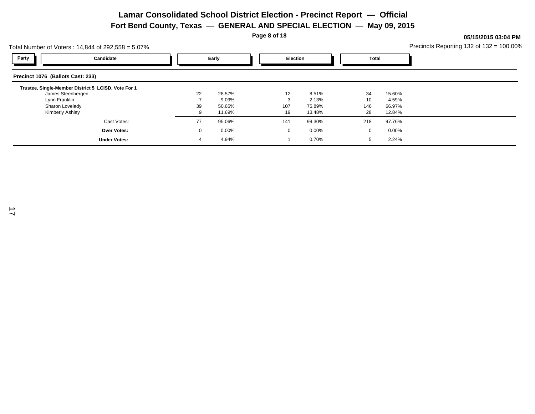**Page 8 of 18**

|                                   | Total Number of Voters: 14,844 of 292,558 = 5.07%   |    |        |  |                 |        |  |              |        | Precincts Reporting 132 of $132 = 100.00\%$ |  |  |  |
|-----------------------------------|-----------------------------------------------------|----|--------|--|-----------------|--------|--|--------------|--------|---------------------------------------------|--|--|--|
| Party                             | Candidate                                           |    | Early  |  | <b>Election</b> |        |  | <b>Total</b> |        |                                             |  |  |  |
| Precinct 1076 (Ballots Cast: 233) |                                                     |    |        |  |                 |        |  |              |        |                                             |  |  |  |
|                                   | Trustee, Single-Member District 5 LCISD, Vote For 1 |    |        |  |                 |        |  |              |        |                                             |  |  |  |
| James Steenbergen                 |                                                     | 22 | 28.57% |  | 12              | 8.51%  |  | 34           | 15.60% |                                             |  |  |  |
| Lynn Franklin                     |                                                     |    | 9.09%  |  |                 | 2.13%  |  | 10           | 4.59%  |                                             |  |  |  |
| Sharon Lovelady                   |                                                     | 39 | 50.65% |  | 107             | 75.89% |  | 146          | 66.97% |                                             |  |  |  |
| Kimberly Ashley                   |                                                     |    | 11.69% |  | 19              | 13.48% |  | 28           | 12.84% |                                             |  |  |  |
|                                   | Cast Votes:                                         | 77 | 95.06% |  | 141             | 99.30% |  | 218          | 97.76% |                                             |  |  |  |
|                                   | Over Votes:                                         |    | 0.00%  |  | $\Omega$        | 0.00%  |  | $\mathbf{0}$ | 0.00%  |                                             |  |  |  |
|                                   | <b>Under Votes:</b>                                 |    | 4.94%  |  |                 | 0.70%  |  |              | 2.24%  |                                             |  |  |  |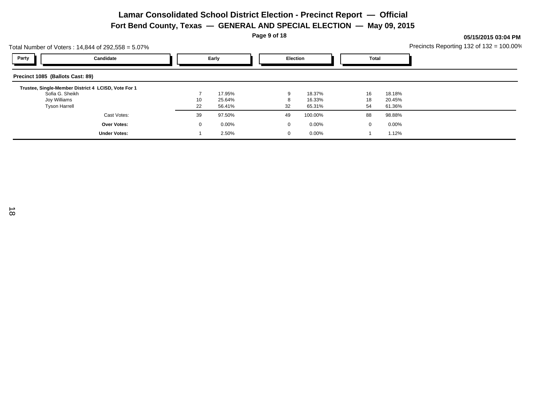**Page 9 of 18**

**05/15/2015 03:04 PM**

Total Number of Voters : 14,844 of 292,558 = 5.07% Precincts Reporting 132 of 132 = 100.00% **Party Candidate Early Election Total Precinct 1085 (Ballots Cast: 89) Trustee, Single-Member District 4 LCISD, Vote For 1** Sofia G. Sheikh 7 17.95% 9 18.37% 16 18.18% Joy Williams 10 25.64% 8 16.33% 18 20.45% Tyson Harrell 22 56.41% 32 65.31% 54 61.36% Cast Votes: 39 97.50% 49 100.00% 88 98.88% **Over Votes: Under Votes:** 0 0.00% 1 2.50%  $2.50\%$  0 0.00% 1 1.12% 0 0.00% 0 0.00% 1 1.12%  $0.00\%$  0.00% 0.00%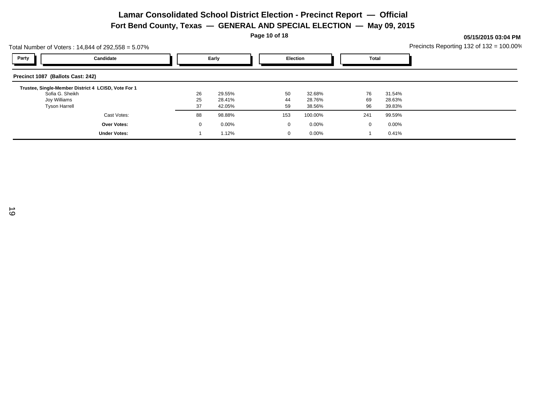**Page 10 of 18**

**05/15/2015 03:04 PM** Precincts Reporting 132 of 132 = 100.00%

| Total Number of Voters: 14,844 of 292,558 = 5.07%   |    |                       |              |          |               | Precincts Reporting 132 of $132 = 100.00\%$ |
|-----------------------------------------------------|----|-----------------------|--------------|----------|---------------|---------------------------------------------|
| Party<br>Candidate                                  |    | Early                 |              | Election | Total         |                                             |
| Precinct 1087 (Ballots Cast: 242)                   |    |                       |              |          |               |                                             |
| Trustee, Single-Member District 4 LCISD, Vote For 1 |    |                       |              |          |               |                                             |
| Sofia G. Sheikh                                     | 26 | 29.55%                | 50           | 32.68%   | 76<br>31.54%  |                                             |
| Joy Williams                                        | 25 | 28.41%                | 44           | 28.76%   | 69            | 28.63%                                      |
| <b>Tyson Harrell</b>                                | 37 | 42.05%                | 59           | 38.56%   | 96<br>39.83%  |                                             |
| Cast Votes:                                         | 88 | 98.88%                | 153          | 100.00%  | 241<br>99.59% |                                             |
| Over Votes:                                         |    | 0.00%<br>$\mathbf{0}$ | $\mathbf{0}$ | $0.00\%$ | $\mathbf{0}$  | $0.00\%$                                    |
| <b>Under Votes:</b>                                 |    | 1.12%                 | $\mathbf{0}$ | 0.00%    |               | 0.41%                                       |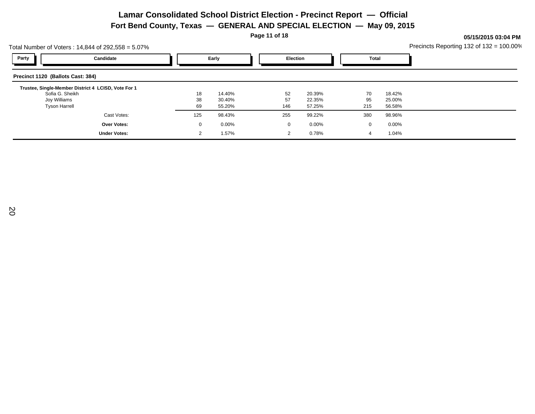**Page 11 of 18**

| Total Number of Voters: 14,844 of 292,558 = 5.07%   | Precincts Reporting 132 of $132 = 100.00\%$ |              |          |                |                 |     |        |  |
|-----------------------------------------------------|---------------------------------------------|--------------|----------|----------------|-----------------|-----|--------|--|
| Party                                               | Candidate                                   |              | Early    |                | <b>Election</b> |     | Total  |  |
| Precinct 1120 (Ballots Cast: 384)                   |                                             |              |          |                |                 |     |        |  |
| Trustee, Single-Member District 4 LCISD, Vote For 1 |                                             |              |          |                |                 |     |        |  |
| Sofia G. Sheikh                                     |                                             | 18           | 14.40%   | 52             | 20.39%          | 70  | 18.42% |  |
| Joy Williams                                        |                                             | 38           | 30.40%   | 57             | 22.35%          | 95  | 25.00% |  |
| <b>Tyson Harrell</b>                                |                                             | 69           | 55.20%   | 146            | 57.25%          | 215 | 56.58% |  |
|                                                     | Cast Votes:                                 | 125          | 98.43%   | 255            | 99.22%          | 380 | 98.96% |  |
|                                                     | <b>Over Votes:</b>                          | $\mathbf{0}$ | $0.00\%$ | 0              | $0.00\%$        | 0   | 0.00%  |  |
|                                                     | <b>Under Votes:</b>                         |              | 1.57%    | $\overline{2}$ | 0.78%           | 4   | 1.04%  |  |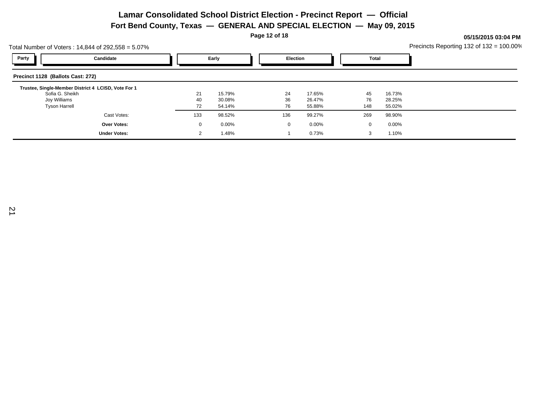**Page 12 of 18**

| Total Number of Voters: 14,844 of 292,558 = 5.07% | Precincts Reporting 132 of $132 = 100.00\%$         |              |          |     |                 |     |        |  |
|---------------------------------------------------|-----------------------------------------------------|--------------|----------|-----|-----------------|-----|--------|--|
| Party                                             | Candidate                                           |              | Early    |     | <b>Election</b> |     | Total  |  |
| Precinct 1128 (Ballots Cast: 272)                 |                                                     |              |          |     |                 |     |        |  |
|                                                   | Trustee, Single-Member District 4 LCISD, Vote For 1 |              |          |     |                 |     |        |  |
| Sofia G. Sheikh                                   |                                                     | 21           | 15.79%   | 24  | 17.65%          | 45  | 16.73% |  |
| Joy Williams                                      |                                                     | 40           | 30.08%   | 36  | 26.47%          | 76  | 28.25% |  |
| <b>Tyson Harrell</b>                              |                                                     | 72           | 54.14%   | 76  | 55.88%          | 148 | 55.02% |  |
|                                                   | Cast Votes:                                         | 133          | 98.52%   | 136 | 99.27%          | 269 | 98.90% |  |
|                                                   | <b>Over Votes:</b>                                  | $\mathbf{0}$ | $0.00\%$ |     | $0.00\%$<br>0   | 0   | 0.00%  |  |
|                                                   | <b>Under Votes:</b>                                 |              | 1.48%    |     | 0.73%           | 3   | 1.10%  |  |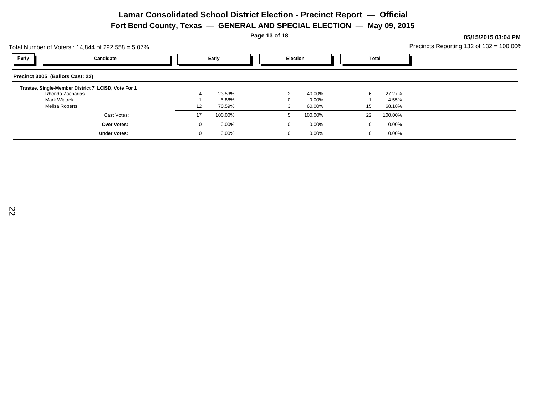**Page 13 of 18**

**05/15/2015 03:04 PM**

Total Number of Voters : 14,844 of 292,558 = 5.07% Precincts Reporting 132 of 132 = 100.00% **Party Candidate Early Election Total Precinct 3005 (Ballots Cast: 22) Trustee, Single-Member District 7 LCISD, Vote For 1** Rhonda Zacharias 4 23.53% 2 40.00% 6 27.27% Mark Wiatrek 1 5.88% 0 0.00% 1 4.55% Melisa Roberts 12 70.59% 3 60.00% 15 68.18% Cast Votes: 17 100.00% 5 100.00% 22 100.00% **Over Votes: Under Votes:** 0 0.00% 0 0.00%  $0.00\%$  0.00% 0.00% 0.00% 0.00% 0.00% 0.00% 0.00% 0.00% 0.00% 0.00% 0.00% 0.00% 0.00% 0.00% 0.00% 0.00% 0.00% 0.00% 0.00% 0.00% 0.00% 0.00% 0.00% 0.00% 0.00% 0.00% 0.00% 0.00% 0.00% 0.00% 0.00% 0.00% 0.00% 0.00% 0.00% 0. 0 0.00% 0 0 0.00%  $0.00\%$  0.00% 0.00%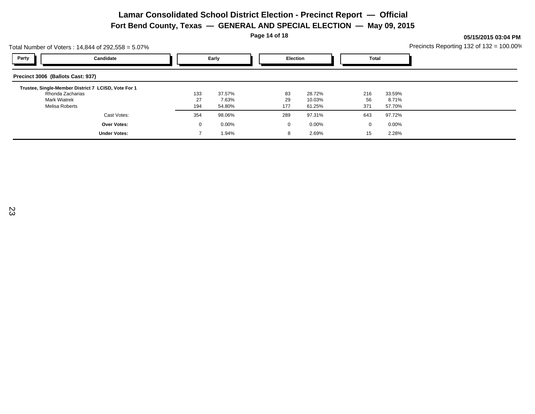**Page 14 of 18**

| Total Number of Voters: 14,844 of 292,558 = 5.07%                       | Precincts Reporting 132 of $132 = 100.00\%$ |                 |              |                  |           |                 |  |
|-------------------------------------------------------------------------|---------------------------------------------|-----------------|--------------|------------------|-----------|-----------------|--|
| Party<br>Candidate                                                      |                                             | Early           |              | <b>Election</b>  |           | Total           |  |
| Precinct 3006 (Ballots Cast: 937)                                       |                                             |                 |              |                  |           |                 |  |
| Trustee, Single-Member District 7 LCISD, Vote For 1<br>Rhonda Zacharias | 133                                         | 37.57%          | 83           | 28.72%           | 216       | 33.59%          |  |
| <b>Mark Wiatrek</b><br>Melisa Roberts                                   | 27<br>194                                   | 7.63%<br>54.80% | 29<br>177    | 10.03%<br>61.25% | 56<br>371 | 8.71%<br>57.70% |  |
| Cast Votes:                                                             | 354                                         | 98.06%          | 289          | 97.31%           | 643       | 97.72%          |  |
| <b>Over Votes:</b>                                                      | 0                                           | $0.00\%$        | $\mathbf{0}$ | $0.00\%$         | 0         | 0.00%           |  |
| <b>Under Votes:</b>                                                     |                                             | 1.94%           | 8            | 2.69%            | 15        | 2.28%           |  |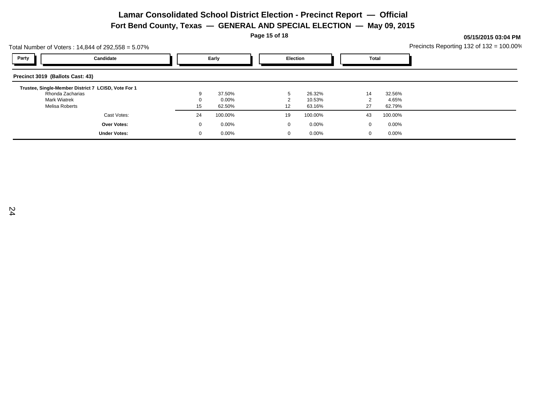**Page 15 of 18**

**05/15/2015 03:04 PM**

Total Number of Voters : 14,844 of 292,558 = 5.07% Precincts Reporting 132 of 132 = 100.00% **Party Candidate Early Election Total Precinct 3019 (Ballots Cast: 43) Trustee, Single-Member District 7 LCISD, Vote For 1** Rhonda Zacharias 9 37.50% 5 26.32% 14 32.56% Mark Wiatrek 0 0.00% 2 10.53% 2 4.65% Melisa Roberts 15 62.50% 12 63.16% 27 62.79% Cast Votes: 24 100.00% 19 100.00% 43 100.00% **Over Votes: Under Votes:** 0 0.00% 0 0.00%  $0.00\%$  0.00% 0.00% 0.00% 0.00% 0.00% 0.00% 0.00% 0.00% 0.00% 0.00% 0.00% 0.00% 0.00% 0.00% 0.00% 0.00% 0.00% 0.00% 0.00% 0.00% 0.00% 0.00% 0.00% 0.00% 0.00% 0.00% 0.00% 0.00% 0.00% 0.00% 0.00% 0.00% 0.00% 0.00% 0.00% 0. 0 0.00% 0 0 0.00%  $0.00\%$  0.00% 0.00%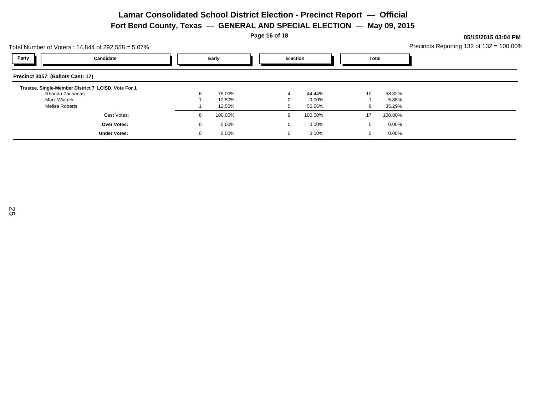**Page 16 of 18**

**05/15/2015 03:04 PM**

Total Number of Voters : 14,844 of 292,558 = 5.07% Precincts Reporting 132 of 132 = 100.00% **Party Candidate Early Election Total Precinct 3057 (Ballots Cast: 17) Trustee, Single-Member District 7 LCISD, Vote For 1** Rhonda Zacharias 6 75.00% 4 44.44% 10 58.82% Mark Wiatrek 1 12.50% 0 0.00% 1 5.88% Melisa Roberts 1 12.50% 5 55.56% 6 35.29% Cast Votes: 8 100.00% 9 100.00% 17 100.00% **Over Votes: Under Votes:** 0 0.00% 0 0.00%  $0.00\%$  0.00% 0.00% 0.00% 0.00% 0.00% 0.00% 0.00% 0.00% 0.00% 0.00% 0.00% 0.00% 0.00% 0.00% 0.00% 0.00% 0.00% 0.00% 0.00% 0.00% 0.00% 0.00% 0.00% 0.00% 0.00% 0.00% 0.00% 0.00% 0.00% 0.00% 0.00% 0.00% 0.00% 0.00% 0.00% 0. 0 0.00% 0 0 0.00%  $0.00\%$  0.00% 0.00%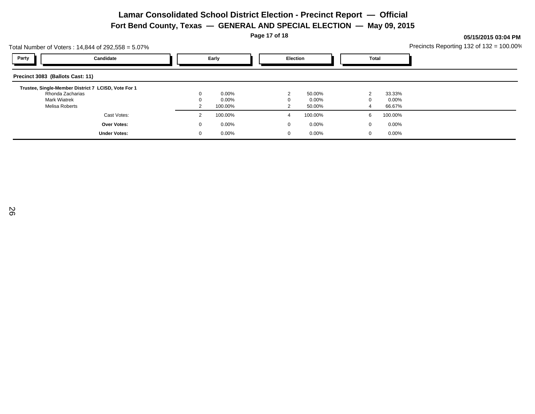**Page 17 of 18**

0 0.00%

Total Number of Voters : 14,844 of 292,558 = 5.07% Precincts Reporting 132 of 132 = 100.00% **Party Candidate Early Election Total Precinct 3083 (Ballots Cast: 11) Trustee, Single-Member District 7 LCISD, Vote For 1** Rhonda Zacharias 0 0.00% 2 50.00% 2 33.33% Mark Wiatrek 0 0.00% 0 0.00% 0 0.00% Melisa Roberts 2 100.00% 2 50.00% 4 66.67% Cast Votes: 2 100.00% 4 100.00% 6 100.00% **Over Votes:** 0 0.00% 0 0.00%  $0.00\%$  0.00% 0.00%

 $0.00\%$  0.00% 0.00% 0.00% 0.00% 0.00% 0.00% 0.00% 0.00% 0.00% 0.00% 0.00% 0.00% 0.00% 0.00% 0.00% 0.00% 0.00% 0.00% 0.00% 0.00% 0.00% 0.00% 0.00% 0.00% 0.00% 0.00% 0.00% 0.00% 0.00% 0.00% 0.00% 0.00% 0.00% 0.00% 0.00% 0.

0 0 0.00%

**05/15/2015 03:04 PM**

**Under Votes:**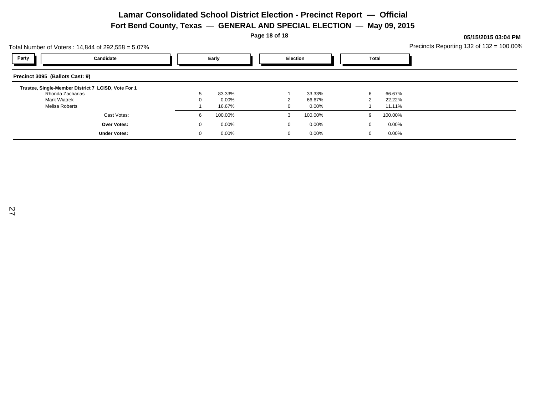**Page 18 of 18**

**05/15/2015 03:04 PM**

Total Number of Voters : 14,844 of 292,558 = 5.07% Precincts Reporting 132 of 132 = 100.00% **Party Candidate Early Election Total Precinct 3095 (Ballots Cast: 9) Trustee, Single-Member District 7 LCISD, Vote For 1** Rhonda Zacharias 5 83.33% 1 33.33% 6 66.67% Mark Wiatrek 0 0.00% 2 66.67% 2 22.22% Melisa Roberts 1 16.67% 0 0.00% 1 11.11% 1 Cast Votes: 6 100.00% 3 100.00% 9 100.00% **Over Votes: Under Votes:** 0 0.00% 0 0.00%  $0.00\%$  0.00% 0.00% 0.00% 0.00% 0.00% 0.00% 0.00% 0.00% 0.00% 0.00% 0.00% 0.00% 0.00% 0.00% 0.00% 0.00% 0.00% 0.00% 0.00% 0.00% 0.00% 0.00% 0.00% 0.00% 0.00% 0.00% 0.00% 0.00% 0.00% 0.00% 0.00% 0.00% 0.00% 0.00% 0.00% 0. 0 0.00% 0 0 0.00%  $0.00\%$  0.00% 0.00%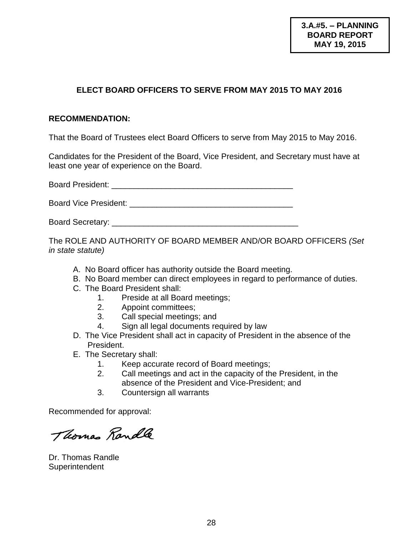# **ELECT BOARD OFFICERS TO SERVE FROM MAY 2015 TO MAY 2016**

#### **RECOMMENDATION:**

That the Board of Trustees elect Board Officers to serve from May 2015 to May 2016.

Candidates for the President of the Board, Vice President, and Secretary must have at least one year of experience on the Board.

Board President: **Example 2018** 

Board Vice President: **Example 2018** 

Board Secretary: \_\_\_\_\_\_\_\_\_\_\_\_\_\_\_\_\_\_\_\_\_\_\_\_\_\_\_\_\_\_\_\_\_\_\_\_\_\_\_\_\_

The ROLE AND AUTHORITY OF BOARD MEMBER AND/OR BOARD OFFICERS *(Set in state statute)*

- A. No Board officer has authority outside the Board meeting.
- B. No Board member can direct employees in regard to performance of duties.
- C. The Board President shall:
	- 1. Preside at all Board meetings;
	- 2. Appoint committees;
	- 3. Call special meetings; and
	- 4. Sign all legal documents required by law
- D. The Vice President shall act in capacity of President in the absence of the President.
- E. The Secretary shall:
	- 1. Keep accurate record of Board meetings;
	- 2. Call meetings and act in the capacity of the President, in the absence of the President and Vice-President; and
	- 3. Countersign all warrants

Recommended for approval:

Thomas Randle

Dr. Thomas Randle **Superintendent**